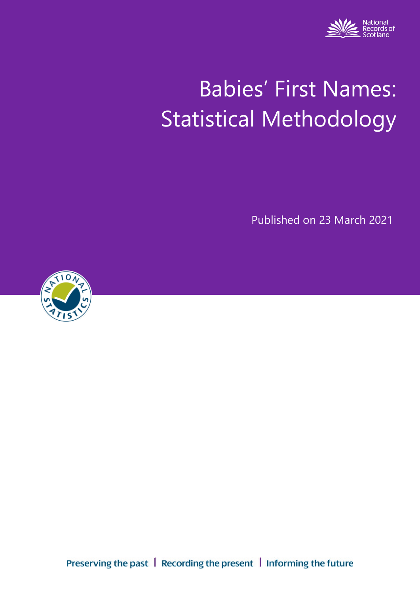

# Babies' First Names: Statistical Methodology

Published on 23 March 2021



Preserving the past | Recording the present | Informing the future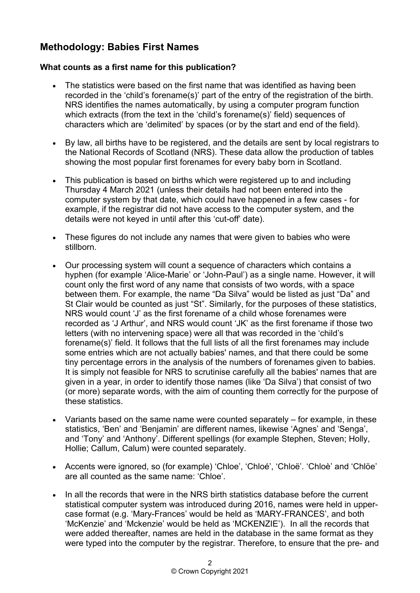## **Methodology: Babies First Names**

### **What counts as a first name for this publication?**

- The statistics were based on the first name that was identified as having been recorded in the 'child's forename(s)' part of the entry of the registration of the birth. NRS identifies the names automatically, by using a computer program function which extracts (from the text in the 'child's forename(s)' field) sequences of characters which are 'delimited' by spaces (or by the start and end of the field).
- By law, all births have to be registered, and the details are sent by local registrars to the National Records of Scotland (NRS). These data allow the production of tables showing the most popular first forenames for every baby born in Scotland.
- This publication is based on births which were registered up to and including Thursday 4 March 2021 (unless their details had not been entered into the computer system by that date, which could have happened in a few cases - for example, if the registrar did not have access to the computer system, and the details were not keyed in until after this 'cut-off' date).
- These figures do not include any names that were given to babies who were stillborn.
- Our processing system will count a sequence of characters which contains a hyphen (for example 'Alice-Marie' or 'John-Paul') as a single name. However, it will count only the first word of any name that consists of two words, with a space between them. For example, the name "Da Silva" would be listed as just "Da" and St Clair would be counted as just "St". Similarly, for the purposes of these statistics, NRS would count 'J' as the first forename of a child whose forenames were recorded as 'J Arthur', and NRS would count 'JK' as the first forename if those two letters (with no intervening space) were all that was recorded in the 'child's forename(s)' field. It follows that the full lists of all the first forenames may include some entries which are not actually babies' names, and that there could be some tiny percentage errors in the analysis of the numbers of forenames given to babies. It is simply not feasible for NRS to scrutinise carefully all the babies' names that are given in a year, in order to identify those names (like 'Da Silva') that consist of two (or more) separate words, with the aim of counting them correctly for the purpose of these statistics.
- Variants based on the same name were counted separately for example, in these statistics, 'Ben' and 'Benjamin' are different names, likewise 'Agnes' and 'Senga', and 'Tony' and 'Anthony'. Different spellings (for example Stephen, Steven; Holly, Hollie; Callum, Calum) were counted separately.
- Accents were ignored, so (for example) 'Chloe', 'Chloé', 'Chloë', 'Chloè' and 'Chlöe' are all counted as the same name: 'Chloe'.
- In all the records that were in the NRS birth statistics database before the current statistical computer system was introduced during 2016, names were held in uppercase format (e.g. 'Mary-Frances' would be held as 'MARY-FRANCES', and both 'McKenzie' and 'Mckenzie' would be held as 'MCKENZIE'). In all the records that were added thereafter, names are held in the database in the same format as they were typed into the computer by the registrar. Therefore, to ensure that the pre- and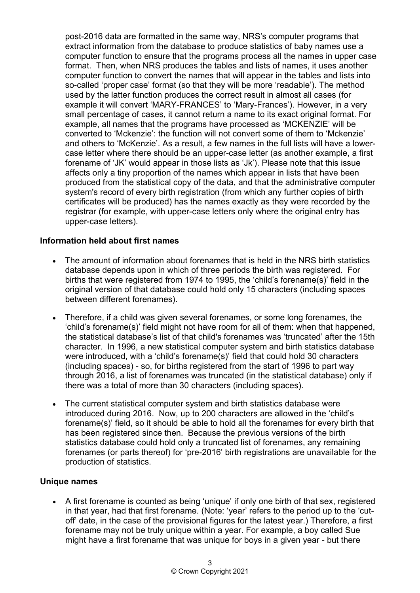post-2016 data are formatted in the same way, NRS's computer programs that extract information from the database to produce statistics of baby names use a computer function to ensure that the programs process all the names in upper case format. Then, when NRS produces the tables and lists of names, it uses another computer function to convert the names that will appear in the tables and lists into so-called 'proper case' format (so that they will be more 'readable'). The method used by the latter function produces the correct result in almost all cases (for example it will convert 'MARY-FRANCES' to 'Mary-Frances'). However, in a very small percentage of cases, it cannot return a name to its exact original format. For example, all names that the programs have processed as 'MCKENZIE' will be converted to 'Mckenzie': the function will not convert some of them to 'Mckenzie' and others to 'McKenzie'. As a result, a few names in the full lists will have a lowercase letter where there should be an upper-case letter (as another example, a first forename of 'JK' would appear in those lists as 'Jk'). Please note that this issue affects only a tiny proportion of the names which appear in lists that have been produced from the statistical copy of the data, and that the administrative computer system's record of every birth registration (from which any further copies of birth certificates will be produced) has the names exactly as they were recorded by the registrar (for example, with upper-case letters only where the original entry has upper-case letters).

#### **Information held about first names**

- The amount of information about forenames that is held in the NRS birth statistics database depends upon in which of three periods the birth was registered. For births that were registered from 1974 to 1995, the 'child's forename(s)' field in the original version of that database could hold only 15 characters (including spaces between different forenames).
- Therefore, if a child was given several forenames, or some long forenames, the 'child's forename(s)' field might not have room for all of them: when that happened, the statistical database's list of that child's forenames was 'truncated' after the 15th character. In 1996, a new statistical computer system and birth statistics database were introduced, with a 'child's forename(s)' field that could hold 30 characters (including spaces) - so, for births registered from the start of 1996 to part way through 2016, a list of forenames was truncated (in the statistical database) only if there was a total of more than 30 characters (including spaces).
- The current statistical computer system and birth statistics database were introduced during 2016. Now, up to 200 characters are allowed in the 'child's forename(s)' field, so it should be able to hold all the forenames for every birth that has been registered since then. Because the previous versions of the birth statistics database could hold only a truncated list of forenames, any remaining forenames (or parts thereof) for 'pre-2016' birth registrations are unavailable for the production of statistics.

#### **Unique names**

• A first forename is counted as being 'unique' if only one birth of that sex, registered in that year, had that first forename. (Note: 'year' refers to the period up to the 'cutoff' date, in the case of the provisional figures for the latest year.) Therefore, a first forename may not be truly unique within a year. For example, a boy called Sue might have a first forename that was unique for boys in a given year - but there